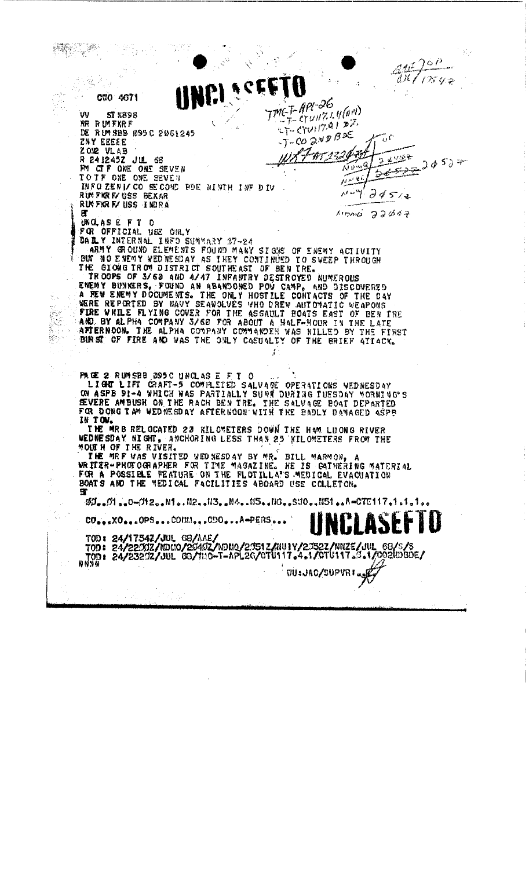$26P$ Att  $\mathcal{U}$ l 1754  $\tau$  $\mathcal{L}_{\mathcal{S}_{\mathcal{A},\mathcal{C}}}$  $\frac{1}{\sqrt{2}}\frac{1}{g}$ j. وفردت CNO 4671 TMCT-APL-26  $=7 - 27$ unz.1.4(AM) w ST VASH  $27 - 0701170127$ RR RUMFKRF DE. RUM SBB 095 C 2061245  $-7-00$  2ND BDE ZNY EEEEE 44523243 ZON2 VLAB يعصيه  $34577$ R 241245Z JUL 68<br>PM CIF ONE ONE SEVEN  $\sqrt{v}$  w  $^2$ ستمجه Э TO IF ONE ONE SEVEN juri 46 INFO ZENI/ CO SE COND PDE NINTH INF DIV  $24514$ RUM FIRERY USS BEXAR  $\mathcal{L}^{(1)}$ ۶ RUMFKRF/USS INDRA 圧  $M$ *DMC*  $33017$ UNCLASE FT O FOR OFFICIAL USE ONLY<br>
DAILY INTERNAL INFO SUMMARY 37-24<br>
ARMY GROUND ELEMENTS FOUND MANY SIGKS OF ENEMY ACTIVITY<br>
BUT NO ENEMY WEDNESDAY AS THEY CONTINUED TO SWEEP THROUGH<br>
THE GTOMG TROW DISTRICT SOUTHERST OF BEN TREE.<br> FOR OFFICIAL USE ONLY Ý. 정하기 FOR DONG IAM WEDNESDAY AFTERNOON WITH THE BADLY DAMAGED ASPE IN TOW. THE MRB RELOCATED 23 KILOMETERS DOWN THE HAM LUONG RIVER<br>WEDNESDAY NIGHT, ANCHORING LESS THAN 23 KILOMETERS FROM THE<br>MOUTH OF THE RIVER.<br>THE MRF WAS VISITED WEDNESDAY BY MR. BILL MARMON, A<br>WRITER-PHOTOGRAPHER FOR TIME MAGA BOATS AND THE MEDICAL FACILITIES ABOARD USE COLLETON. t, Ø0. 01. . 0-012. . N1. . N2. . N3. . N4. . N5. . NG. . SV0. . N51. . A-CTE117. 1. 1. 1.  $CO_{4.4.6}XO_{4.4.6}OPS_{4.4.6}COHM_{4.4.6}COO_{4.4.6}A+PERS_{4.4.6}$ TOD: 24/17542/JUL 68/AAE/<br>TOD: 24/220012/NDHO/20402/NDHO/20512/NU1Y/20522/NNZE/JUL 68/S/S<br>TOD: 24/23202/JUL 68/HRG-T-APL26/CTU117.4.1/CTU117.9.1/0021080E/ WU: JAC/SUPVRI ...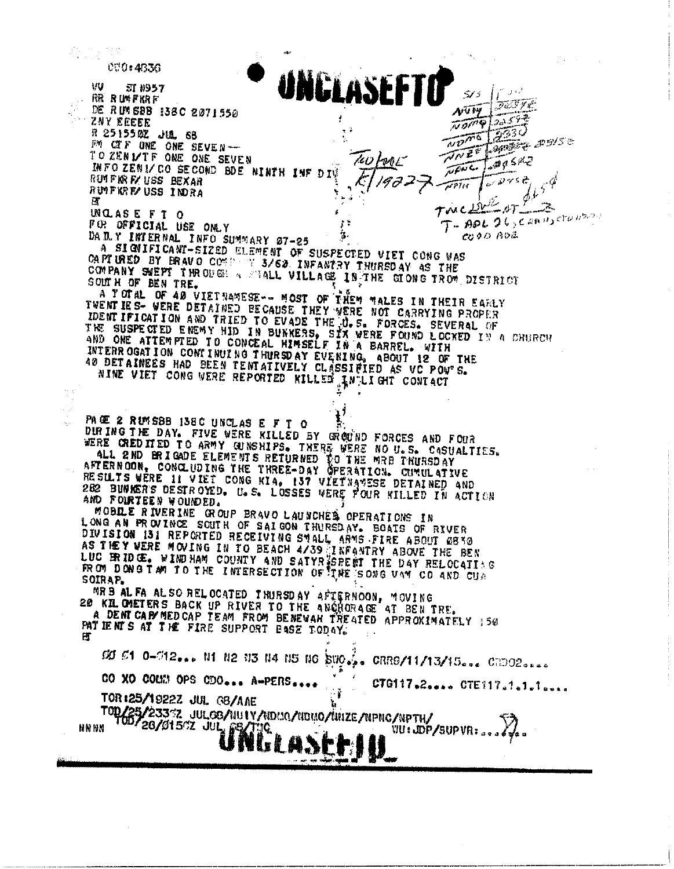数点 (3) 000:4336 NGLASEFT ŧΓU **ST N957** أيافاني أ  $5.75$ **RR RUMFKRF** JESYE DE RIM SBB 138C 2071550 AUW  $20552$ is a ZNY EEEEE  $\overline{v}$  or  $\overline{v}$  $\widetilde{z^{23}{}^{0}}$ R 251550Z JUL 68  $\overline{v\overline{v''}}$ **Sports 2515 to** FM CIF ONE ONE SEVEN-NNEE TO ZENIZIF ONE ONE SEVEN TW HML  $\overline{a}$ a SPE INFO ZENI/CO SECOND BDE NINTH INF DIV Town RUTFIN F/USS BEXAR واقومته RUPPER B USS INDRA П. twed **UNCLASEFT O**  $T$ - APL 26, CARIT, CTUNSSE FOR OFFICIAL USE ONLY DAILY INTERNAL INFO SUMMARY 07-25 COOD AOZ A SIGNIFICANT-SIZED ELEMENT OF SUSPECTED VIET CONG WAS CAPTURED BY BRAVO COMPANY 3/62 INFANTRY THURSDAY AS THE COMPANY SWEPT THRODON & SMALL VILLAGE IN THE GLONG TROW DISTRICT SOUTH OF BEN TRE. A TOTAL OF 40 VIETNAMESE -- MOST OF THEM MALES IN THEIR EARLY TWENT IES- WERE DETAINED BECAUSE THEY WERE NOT CARRYING PROPER IDENT IFICATION AND TRIED TO EVADE THE U.S. FORCES. SEVERAL OF THE SUSPECTED ENEMY HID IN BUNKERS, SIX WERE FOUND LOCKED IN A CHURCH AND ONE ATTEMPTED TO CONCEAL HIMSELF IN A BARREL. WITH INTERROGATION CONTINUING THURSDAY EVENING, ABOUT 12 OF THE 40 DETAINEES HAD BEEN TENTATIVELY CLASSIFIED AS VC POW'S. NINE VIET CONG WERE REPORTED KILLED AN LIGHT CONTACT PACE 2 RUMSBB 138C UNCLAS E F T O DIRING THE DAY. FIVE WERE RILLED BY GROUND FORCES AND FOUR WERE CREDITED TO ARMY GUNSHIPS. THERE WERE NO U.S. CASUALTIES. ALL 2ND BRIGADE ELEMENTS RETURNED TO THE WAB TRUBSDAY RESUITS WERE IN VIET CONG KIA, 137 VIETNAMESE DETAINED AND 282 BUNKERS DESTROYED. U.S. LOSSES WERE FOUR KILLED IN ACTION AND FOURTEEN WOUNDED. MOBILE RIVERINE GROUP BRAVO LAUNCHER OPERATIONS IN LONG AN PROVINCE SOUTH OF SAIGON THURSDAY. BOATS OF RIVER DIVISION 131 REPORTED RECEIVING SMALL ARMS FIRE ABOUT 0830<br>AS THEY WERE MOVING IN TO BEACH 4/39 INFANTRY ABOVE THE BEN<br>LUC BRIDGE, WINDHAM COUNTY AND SATYRISPERT THE DAY RELOCATING<br>FROM DONG TAM TO THE INTERSECTION OF THE SOIRAP. MRB AL FA AL SO RELOCATED THURSDAY AFTERNOON, MOVING 20 KIL CMETERS BACK UP RIVER TO THE ANCHORAGE AT BEN TRE. A DEMICAP MEDICAP TEAM FROM BENEVAN TREATED APPROXIMATELY 150 PATIENTS AT THE FIRE SUPPORT BASE TODAY. Ħ CO 61 0-012... N1 N2 N3 N4 N5 N6 SUO... CRR9/11/13/15... CRDO2.... CO XO COMM OPS CDO... A-PERS .... CTG117.2.... CTE117.1.1.1.... TOR:25/1922Z JUL G8/AAE TOD/25/23332 JULGS/101V/NDC10/1000/01012E/NPNC/NPTH/<br>N 100/20/01502 JUL PATTIC **NN NN** VU: JDP/SUPVR: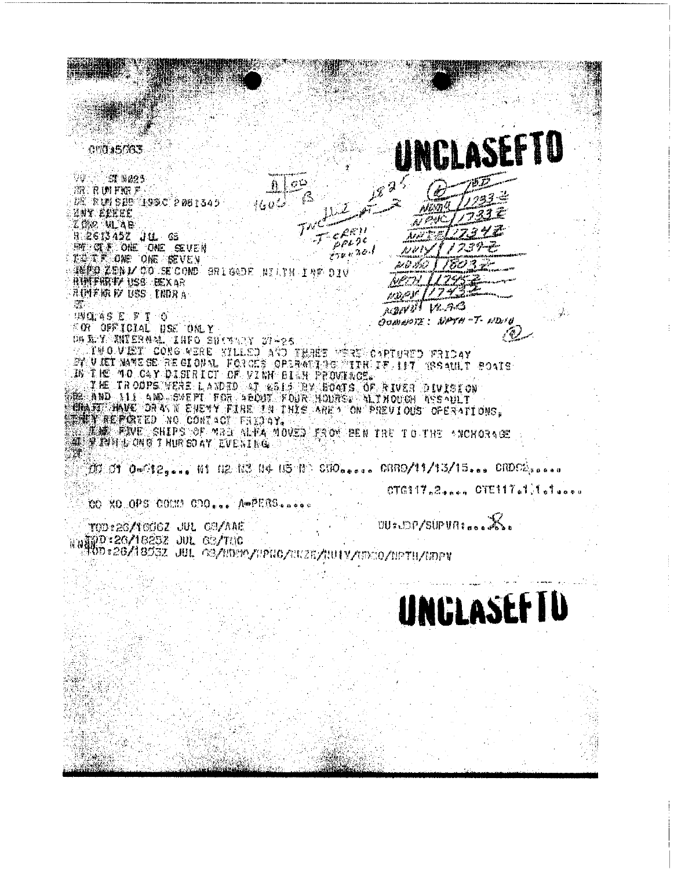UNGLASEFTO 00035033 . g 1923 های إ **AK RUMFORF**  $1600$ DÊ RUM SHE LOOC 2081345 **ENY EEEEE** ara film  $\mathcal{D}\mathcal{U}$  $c^{\ell \ell \ell \ell \ell}$ zur War **TRESTASZ JU 65<br>THE CLE ONE CNE SEVEN**<br>TRUTT ONE ONE SEVEN  $\rho_{\rho s}, j \in$ Franko ترادعن تفاسطه **BEFOLENIZO SECOND SHIGADE NILTH INF DIV** RIMFIRE USS BEXAR **RICHTER EY USS INDRA**  $113.98$ **RAIVAT VR. A.B.** BO. - 3暦61:46 回 同 丁一〇 GOWNNIE: NOTH - T- NOIN FOR OFFICIAL USE ONLY OR EX SULERAM INFO SURVARY 27-26 FEBRE PERS CAPIURED FRIDAY BY URT WARE SE REGIONAL FORCES OPSRATING TIRETT IN TRESAULT POATS THE TROOPS VERE LANDED AT WELF BY BOATS OF RIVER DIVISION **SUMMIT HAVE DARYN ENEWY FIRE IN THIS AREY ON FREUIOUS OFERATIONS,** THE REFORTED NO CONTACT FRIDAY, **MARINE SHIPS OF MED ALEA MOVED FROM BEN THE TO THE ANCHORAGE WE WANN L ONG T HURSDAY EVENING.** 200 01 0=012,.., N1 02 N3 04 05 0 000,.... 0880/11/13/15... 08002,....  $CT6117.2...$   $OTE117.111.4...$ CO XO OPS COLES COO ... A APERS..... **WELDP/SUPVALOGE** TOD:26/1006Z JUL CE/AAE NNERD - 26/18252 JUL 63/100<br>NGC - 26/18252 JUL 63/1000/0200/02020/001V/0000/0210/0020 UNCLASEFIU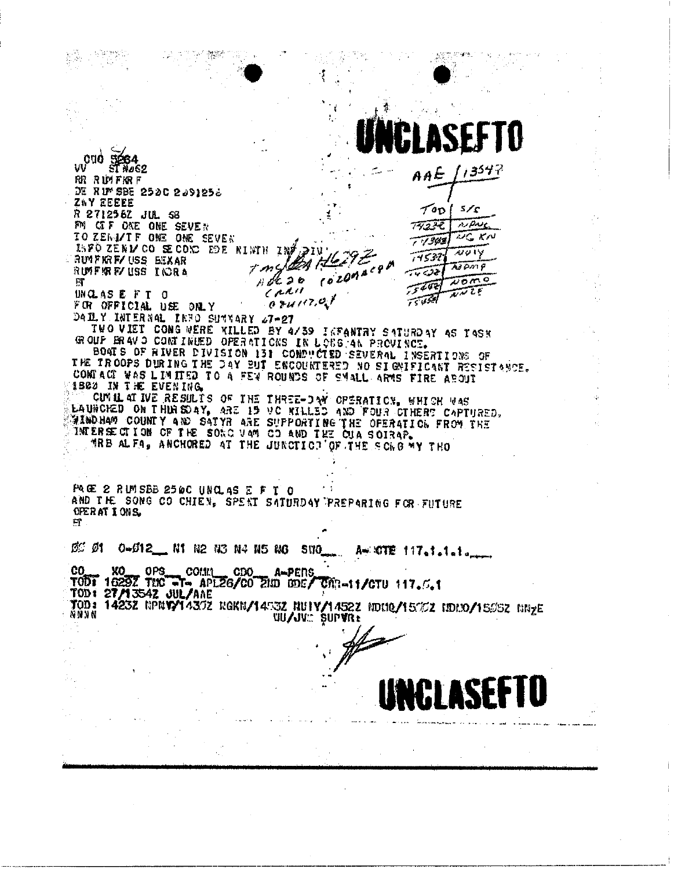ISE  $V^{010}$   $\frac{3664}{1000}$ r <sub>1</sub> 354 P AAE  $\mathcal{L}_{\text{max}}$ **RR RUMFKRF** DE RUM SBE 2520 2091252 ZNY EEEEE  $\tau_{\text{op}}$  $5/\varsigma$ R 271258Z JUL 53 FM CIF ONE ONE SEVEN nipaic 7523C TO ZEND/TF ONE ONE SEVEN WG KN  $77302$ ISFO ZENICO SECOND EDE NINTH INF  $7001$ 74539 RUMFKRF/USS BEXAR (tzri **AIPMP**  $-1.6$ RUMFAR FV USS I IORA چن تەر  $1000$ n de 26  $75202$  $\pi$ omo  $H$  $CAIII$  $15.77$ UNCLASE FT 0  $0.741(7,0)$  $7575$ FOR OFFICIAL USE ONLY DAILY INTERNAL INFO SUMMARY 27-27 TWO VIET CONG WERE KILLED BY 4/39 INFANTRY SATURDAY AS TASK GROUP BRAVD CONTINUED OPERATIONS IN LOSS AN PROVINCE. BOAT'S OF RIVER DIVISION 131 CONDUCTED SEVERAL INSERTIONS OF THE TROOPS DURING THE DAY BUT ENCOUNTERED NO SIGNIFICANT RESISTANCE. CONTACT WAS LIMITED TO A FEW ROUNDS OF SMALL ARMS FIRE ABOUT **1800 IN THE EVENING** CUNIL OF IVE RESULTS OF THE THREE-DAY OPERATION, WHICH WAS EAUNCHED ON THIRSDAY, ARE 19 VC KILLED AND FOUR CTHERE CAPTURED. WIND HAM COUNTY AND SATYR ARE SUPPORTING THE OFERATION FROM THE INTERSECTION OF THE SONG VAM CO AND THE CUA SOIRAP. MRB ALFA, ANCHORED AT THE JUNCTICT OF THE SCHO MY THO PAGE 2 RUM SBB 2500 UNCLAS E F T O AND THE SONG CO CHIEN, SPENT SATURDAY PREPARING FOR FUTURE OPERATIONS.  $H$ Ø' Ø1 0-012 N1 N2 N3 N4 N5 N6 A=10TE 117statata\_ **SWO** CO. **COMM** XO OP<sub>3</sub> A-PERS **CDO** TODT 1623Z THC -T- APLZ6/CO ZHD DDE/ **CAR-11/CTU 117.6.1** TOD: 27/1354Z JUL/ANE TOD: 14232 RPNVYT4302 ROKN/14532 RUTY/14522 RDUQ/15002 RDDO/15052 RRzE NNNN **WU/JV SUPVRt** 

 $\frac{1}{2}$  ,  $\frac{1}{2}$  ,

一分类的化 A.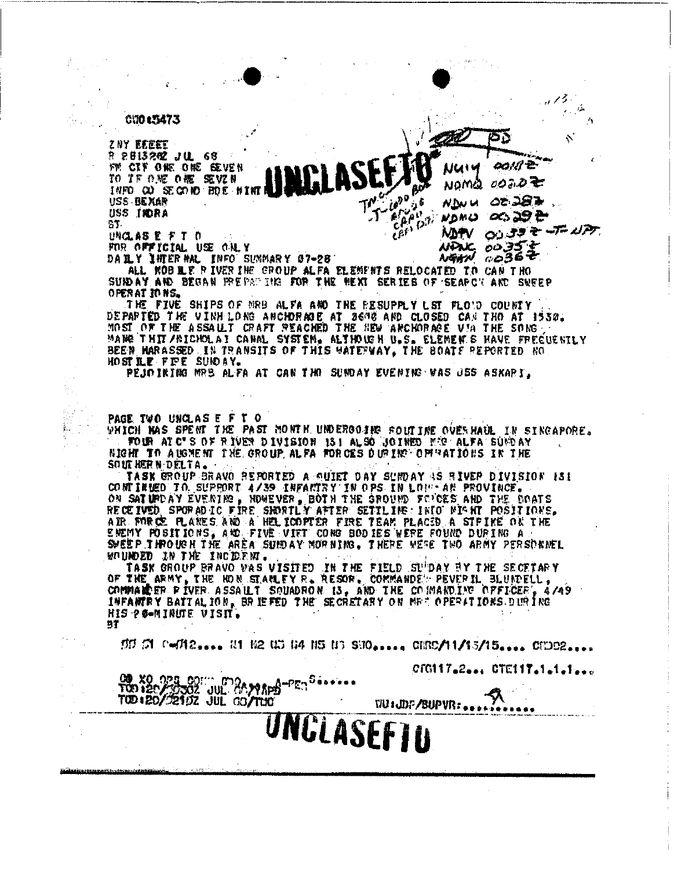C1015473

ZNY EEEEE R 2813292 JUL 63 FM CIF ONE ONE SEVEN TO TF ONE ONE SEVZN INFO CO SECOND FIDE NINTI USS BEXAR USS INDRA SJ.

UNCLASE FT 0 FOR OFFICIAL USE ONLY DAILY INTERNAL INFOLSUNMARY 07-28

ంప ఎ9 సి NDMO 00 33 2 7 17 MAPV. ం 35 NDNC.  $\frac{1}{2}$   $\frac{1}{2}$   $\frac{1}{2}$   $\frac{1}{2}$   $\frac{1}{2}$   $\frac{1}{2}$   $\frac{1}{2}$   $\frac{1}{2}$   $\frac{1}{2}$   $\frac{1}{2}$   $\frac{1}{2}$   $\frac{1}{2}$   $\frac{1}{2}$   $\frac{1}{2}$   $\frac{1}{2}$   $\frac{1}{2}$   $\frac{1}{2}$   $\frac{1}{2}$   $\frac{1}{2}$   $\frac{1}{2}$   $\frac{1}{2}$   $\frac{1}{2}$ 

NUIY

NOMQ

**NDW UT** 

T-600 BOA

CAON

 $\tilde{\epsilon}^{\rho^{\prime}}$ <sup> $\rho^{\beta}$ </sup>

**Their** 

60.U Z-

0022至

02.287

ョアジー

V.

ALL ROB LE PIVERINE GROUP ALFA ELEMENTS RELOCATED TO CAN THO SURDAY AND BEGAN PREPARTING FOR THE NEXT SERIES OF SEARCY AND SUFEP OPERATIONS.

THE FIVE SHIPS OF MRB ALFA AND THE RESUPPLY LST FLOTD COUNTY DEPARTED THE VINH LONG ANCHORAGE AT 36ME AND CLOSED CAN THO AT 1530. MOST OF THE ASSAULT CRAFT REACHED THE HEW ANCHORACE VIA THE SONG, MANG THIT/BICHOLAI CANAL SYSTEM. ALTHOUGH U.S. ELEMENTS HAVE FREGUENILY BEEN MARASSED IN TRANSITS OF THIS WATERWAY, THE BOATE REPORTED NO HOST LE FIFE SUIDAY.

PEJOIRING MRB ALFA AT CAN THO SUNDAY EVENING WAS JES ASKARI.

PAGE TWO UNCLASE FT O

WHICH MAS SPENT THE PAST MONTH UNDERGOING FOUTINE OVERHAUL IN SINGAPORE. FOUR AT C'S OF RIVER DIVISION 151 ALSO JOINED ME ALFA SUNDAY NIGHT TO AUGMENT THE GROUP ALFA FORCES DUMING OPERATIONS IN THE SOUTHERN DELTA.

TASK GROUP BRAVO REPORTED A QUIET DAY SUMDAY AS RIVER DIVISION 131 CONTINUED TO SUPPORT 4/39 INFACTRY IN OPS IN LOU-AN PROVINCE. ON SATURDAY EVENTING, HOWEVER, BOTH THE SROUND FOUCES AND THE BOATS<br>RECEIVED SPORADIC FIRE SHORTLY AFTER SETTLING: INTO MIGHT POSITIONS.<br>AIR FORCE FLANES AND A HELICOPTER FIRE TEAM PLACED A STRIKE ON THE<br>ENEMY POSITIONS, A SWEEP THROUGH THE AREA SUMDAY NORMING. THERE WERE TWO ARMY PERSONNEL WOUNDED IN THE INCIDENT.

TASK GROUP BRAVO WAS VISITED IN THE FIELD SUPPAY BY THE SECETARY OF THE ARMY, THE HOM STARLEY R. RESOR. COMMANDED PEVER IL BLUNDELL, COMMARER PIVER ASSAULT SOUADRON IS, AND THE COMMANDING OFFICER 4/49 INFANTRY BATTALION, BRIEFED THE SECRETARY ON MRT OPERATIONS DIRING HIS PO-MINUTE VISIT.  $\mathbf{B}$ 

 $555$   $51$   $^{\circ}$   $\sim$   $742$ <sub>2</sub>....  $11$   $102$   $113$   $114$   $115$   $113$   $510$ <sub>222.24</sub>  $\sigma$   $1153/15$ <sub>222.24</sub>  $\sigma$ 

CTG117.2... CTE117.1.1.1...

|  |  | īΙ |
|--|--|----|

J:JDP/SUPVR: .. UNCLASEFIU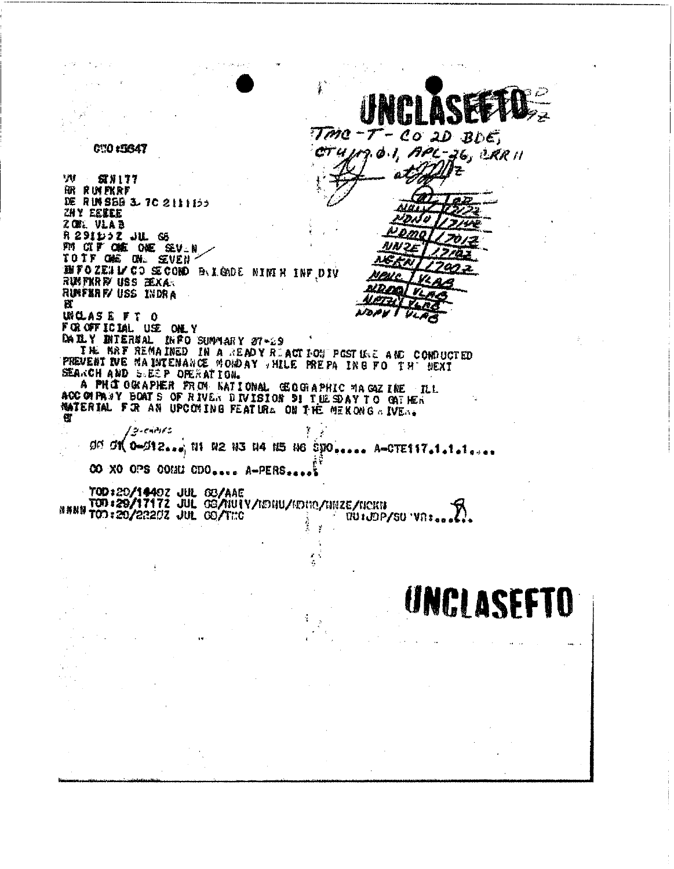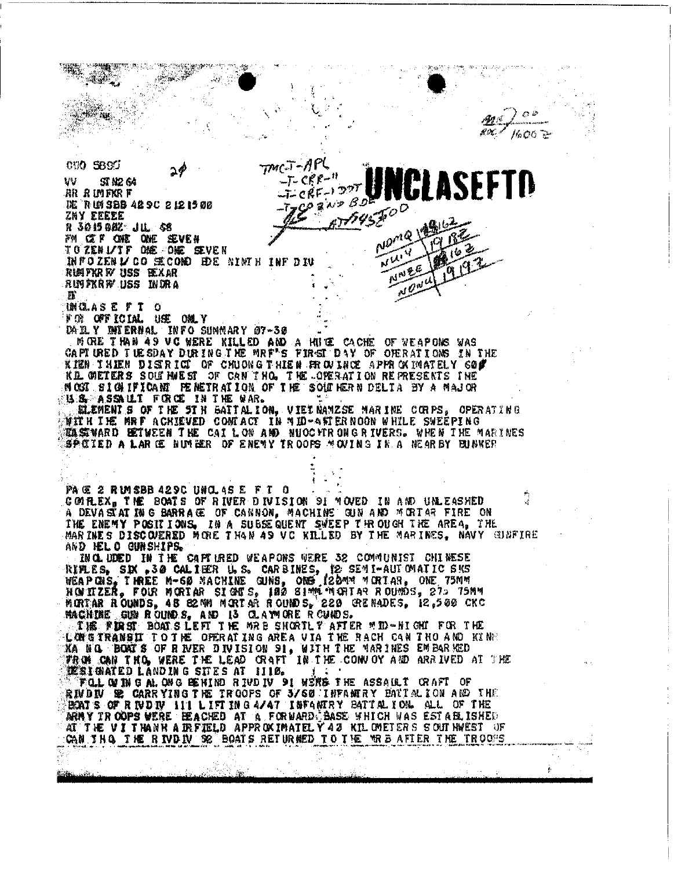-04  $1600$   $\geq$ CUO 5800  $7$ MC $\cdot$ T $-$ N **LASEFTD**  $\mathcal{T}$ - CKF $-$ '' w **ST N2 64**  $CRF - 129$ ar a uifkr f **TES RAP BD IE RUTSBB 429C 2121500** ZNY EEEEE R 3015 982 JUL 58 NDMQ FW CEF ONE ONE SEVEN **NW** THEO SERVICO GE COMO EDE NIMIRINE DIV NWE RUMPKR FY USS EEXAR RUNFKRR USS INDRA М INCLASE FT O FOR OFFICIAL USE ONLY DAILY DETERNAL INFO SUMMARY 07-30<br>MORE THAN AS VC WERE KILLED AND A HUGE CACHE OF VEAPONS WAS CAPTURED TUESDAY DURING THE MRF'S FIRST DAY OF OPERATIONS IN THE KIEN IHIEN DISTRICT OF CHUONG THIEN PROVINCE APPROXIMATELY COD **ILL GETERS SOUTHIEST OF CAN THO. THE OPERATION REPRESENTS INE** NOSI SIGNIFICANT PENETRATION OF THE SOUTHERN DELTA BY A MAJOR U.S. ASSAULT FORCE IN THE WAR. 就LEMENIS OF THE STH BATTALION. VIET NAMESE MARINE CORPS, OPERATING **博宜 H I HE MRF A CHIEVED CONTACT IN #ID-4頁 ERNOON WHILE SWEEPING TA SIVARD BETWEEN THE CAILON AND NUOCHRONG RIVERS. WHEN THE MARINES** SPEIED A LAR EE NUMBER OF ENEMY TROOPS MOVING IN A NEARBY BUNKER PACE 2 RIMSBB 429C UNCLASE FT 0 COMPLEX, THE BOATS OF RIVER DIVISION 91 MOVED IN AND UNLEASHED A DEVASTATING BARRAGE OF CANNON, MACHINE GUN AND MORTAR FIRE ON THE ENEMY POSITIONS. IN A SUBSEQUENT SWEEP THROUGH THE AREA. THE MARINES DISCOVERED MORE THAN AS VC KILLED BY THE MARINES. NAVY GUNFIRE AND HELO GUNSHIPS. INCLUDED IN THE CAPITRED WEAPONS WERE 32 COMMUNIST CHINESE RIFLES, SIN .30 CALIER U.S. CARBINES, 12 SEMI-AUTOMATIC 5KS<br>WEAPONS, THREE M-60 MACHINE GUNS, ONE 122MM MORTAR, ONE 75MM<br>HONTZER, FOUR MORTAR SIGNES, 180 SIMM MORTAR ROUNDS, 273 75MM<br>MORTAR CUMBS, 48 S2MM MORTAR ROUNDS, 20 MACHINE GUN ROUNDS, AND IS CLAYMONE ROUNDS.<br>ING FIRST BOATSLEFT THE MAB SHORTLY AFTER MID-NIGHT FOR THE LONDS LEFT THE MAB SHORTLY AFTER MID-NIGHT FOR THE KA NO. BOAT'S OF RIVER DIVISION 91, WITH THE MARINES EMBARKED FROM CAN THO, WERE THE LEAD CRAFT IN THE CONVOY AND ARRIVED AT THE MESIGNATED LANDING SITES AT 1110. FOLLOWING ALONG BEHIND RIVDIV 91 WERS THE ASSAULT CRAFT OF RIVDIV SE CARRYING THE TROOPS OF 3/60 INFARRAY BATTALION AND THE BOATS OF RIVDIY 111 LIFTING 4/47 ISFARIRY BATTALION. ALL OF THE ARMY TROOPS WERE BEACHED AT A FORMARD SASE WHICH WAS ESTABLISHED AT THE VITHANH AIRFIELD APPROXIMATELY 43 KIL OMETERS SOUTHWEST OF CAN IN A THE RIVDIV SE BOATS RETURNED TO THE MRB AFTER THE TROOPS ţ.

Cass, assem-

de)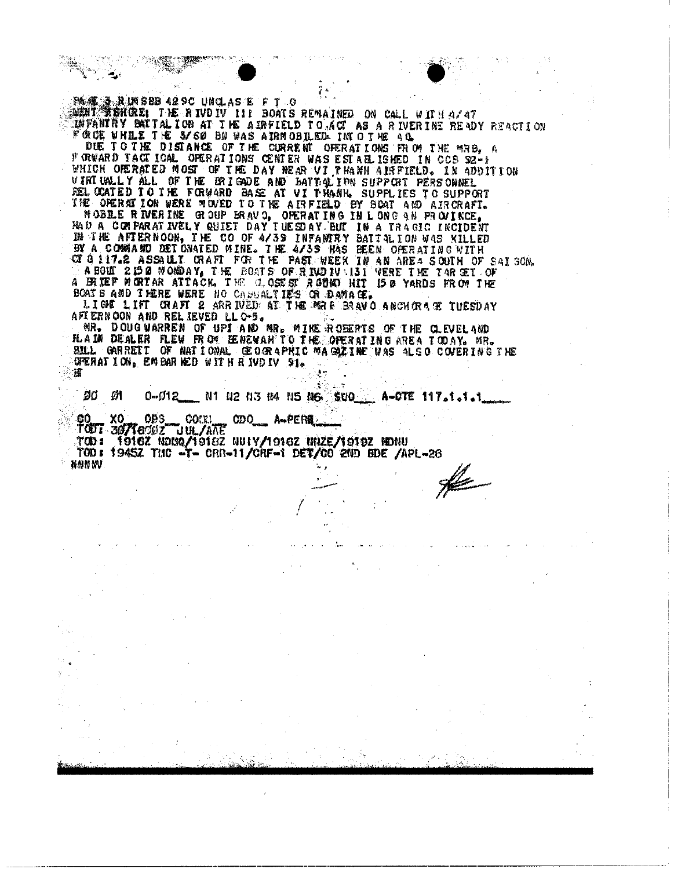344度、3 及10SBB 42SC UNCLAS E F T O<br>342017 教会社CREL THE RIVDIV III BOATS REMAINED ON CALL WITH 4/47 INFANITY BAITALION AT THE AIRFIELD TO ACT AS A RIVERINE READY REACTION FORCE WHILE THE S/SO BN WAS AIRMOBILED INTO THE AC. DUE TO THE DISTANCE OF THE CURRENT OFERATIONS FROM THE MRB. A F GRWARD TACT ICAL OPERATIONS CENTER WAS ESTABLISHED IN CCS 92-1 WHICH ORERATED MOST OF THE DAY NEAR VI THANH AIRFIELD. IN ADDITION VIRTUALLY ALL OF THE BRIGADE AND BATTOLING SUPPORT PERSONNEL REL CCATED TO THE FORWARD BASE AT VI TRANK. SUPPLIES TO SUPPORT THE OPERATION WERE MOVED TO THE AIRFIELD BY SCAT AND AIRCRAFT. MOBLE RIVERINE GOUP BRAVO, OFFRATING IN LONG AN PROVINCE,<br>HAD A COMPARATIVELY QUIET DAY TUESDAY. BUT IN A TRAGIC INCIDENT<br>IN THE AFTERNOON, THE CO OF 4/39 INFANTRY BATTALION WAS KILLED<br>BY A COMMAND DETONATED MINE. THE 4/39 A FRIEF MORTAR ATTACK. THE CLOSEST ROOMD HIT IS & YARDS FROM THE BOAT'S AND I HERE WERE NO CAPUALTIES OR DAMAGE. LIGE LIFT CRAFT 2 ARRIVED AT THE MALE BRAVO ANCHORACE TUESDAY AFTERNOON AND RELIEVED LLOS. MR. DOUG WARREN OF UPIAND MR. MINE ROBERTS OF THE CLEVELAND FLAIN DEALER FLEW FROM EENEWARTO THE OPERATING AREA TODAY. MR. BILL GARRETT OF NATIONAL GEOGRAPHIC MAGAZINE WAS ALSO COVERING THE GERALION. EMBAR NED WITH RIVDIV 91. 摇  $\mathcal{O}(\mathbb{R}^2)$ - 25. ød ØІ 0-012 N1 N2 N3 N4 N5 N6 \$VO A-CTE 117.1.1.1 **90 XO OBS COLLU**<br>TODT 30716002 UUL/AAE  $_{\text{CDO}}$ \_ A⊷PER# TOD 1 1916Z NDMQ/1918Z NUIY/1916Z NRZE/1919Z NDNU TOD: 1945Z THC -T- CRR-11/CRF-1 DET/CO 2ND BDE /APL-26 nnnnv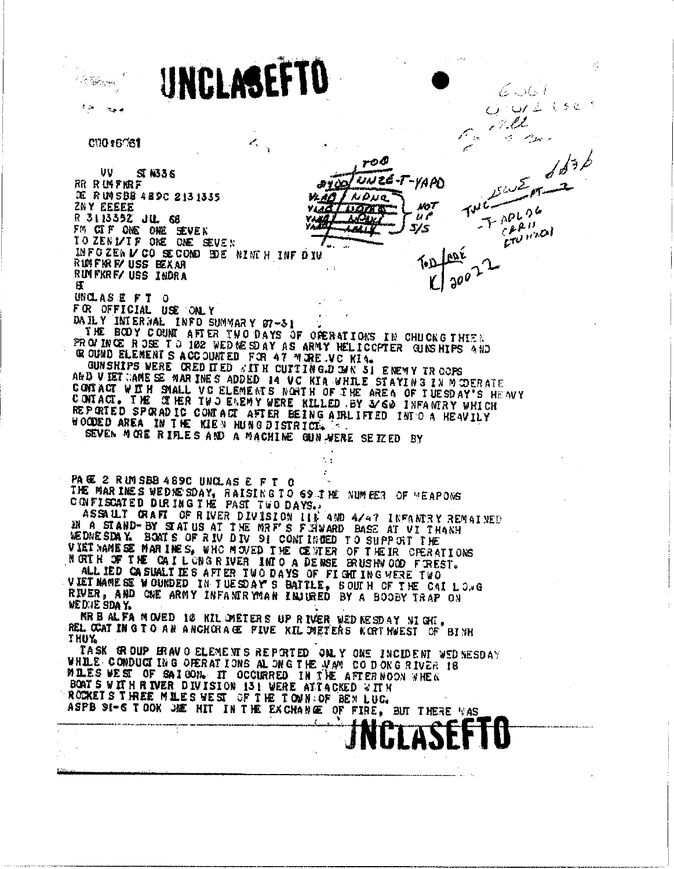UNCLASEFTD Á. in 1990.<br>September 6 S.G. I  $\sim$  07  $\pm$  (32)  $\%$ , ? . l.l. й, **CUO 16081** Z,  $d^{3b}$ roO **UU**  $S/N36$ UNZE -yam **RR RUMPKRF** DE RUNSBB 4890 2131335  $A \Delta u$ a **ZNY EEEEE NOT** තින ස **YLIGH**  $\overline{u}$ R 3113392 JUL 68 VING  $\mathbb{Z}^{p|n}$ **ANDED**  $5/5$ FM CIF ONE ONE SEVEN ETV HOLD TO ZENIZIF ONE ONE SEVEN INFOREAL CO SECOND BDE NINTH INFOIU RUMPHREY USS BEXAR RUMFKRF/ USS INDRA Ħ UNCLASE FT O FOR OFFICIAL USE ONLY DAILY INTERNAL INFO SUMMARY 07-31 THE BODY COUNT AFTER TWO DAYS OF OPERATIONS IN CHUCKG THISK PROVINCE ROSE TO 102 WEDNESDAY AS ARMY HELICCPTER GUNSHIPS AND GROUND ELEMENT S ACCOUNTED FOR 47 MORE VC KIA. GUNSHIPS WERE CREDITED WITH CUTTING DOWN 31 ENEMY TROOPS AND VIET CAME SE MAR INES ADDED 14 VC KIA WHILE STATING IN MODERATE CONTACT WITH SMALL VO ELEMENTS NORTH OF THE AREA OF TUESDAY'S HEAVY<br>CONTACT. THE CITER TWO ENEMY WERE KILLED BY 3/60 INFANTRY WHICH REPORTED SPORADIC CONTACT AFTER BEING AIRLIFTED INTO A HEAVILY WOODED AREA IN THE KIEN HUNG DISTRICT. SEVEN MORE RIFLES AND A MACHINE GUN WERE SEIZED BY PACE 2 RUMSBB 489C UNCLASE FT O THE WAR INES WEDNESDAY, RAISING TO 69 THE NUMBER OF "EAPONS CONFISCATED DURING THE PAST TWO DAYS. ASSAULT GRAFI OF RIVER DIVISION 115 AND 4/47 INFANTRY REMAINED IN A STAND-BY STAT US AT THE MAP'S FINARD BASE AT UT THANH WEDNESDAY BOATS OF RIV DIV BI CONTINUED TO SUPPORT THE VIET NAME SE MARINES, WHO MOVED THE CENTER OF THEIR CPERATIONS NORTH OF THE CAIL CRG RIVER INTO A DENSE BRUSHN OOD FOREST. ALL IED CASUALTIES AFTER TWO DAYS OF FIGHTING WERE TWO VIET MANE SE WOUKDED IN THE SDAY S'BATTLE, SOUTH OF THE CAI LOVE RIVER, AND ONE ARMY INFANIR MAN INJURED BY A BOOBY TRAP ON WE DUE SDAY. MR BALFA MOVED 10 KIL IMETERS UP RIVER WED NESDAY NIGHT, REL CCAT IN G TO AN ANCHORAGE FIVE KIL DUFFERS NORTHWEST OF BINK **THUY** TASK GROUP BRAVO ELEMENTS REPORTED ONLY ONE INCIDENT WEDNESDAY WHILE CONDUCTING OF ERATIONS ALONG THE MAM CODONG RIVER 18 MILES WEST OF SAIGON. IT OCCURRED IN THE AFTERNOON WHEN BOATS WITH RIVER DIVISION 131 WERE ATTACKED WITH ROCKETS THREE MILES WEST OF THE TOWN OF BEN LUC. ASPB 91-6 TOOK JOE HIT IN THE EXCHANGE OF FIRE, BUT THERE WAS